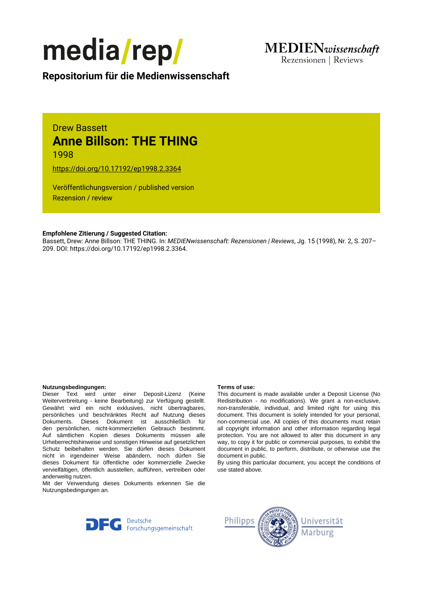

Rezensionen | Reviews

**Repositorium für die [Medienwissenschaft](https://mediarep.org)**

# Drew Bassett **Anne Billson: THE THING** 1998

<https://doi.org/10.17192/ep1998.2.3364>

Veröffentlichungsversion / published version Rezension / review

## **Empfohlene Zitierung / Suggested Citation:**

Bassett, Drew: Anne Billson: THE THING. In: *MEDIENwissenschaft: Rezensionen | Reviews*, Jg. 15 (1998), Nr. 2, S. 207– 209. DOI: https://doi.org/10.17192/ep1998.2.3364.

### **Nutzungsbedingungen: Terms of use:**

Dieser Text wird unter einer Deposit-Lizenz (Keine Weiterverbreitung - keine Bearbeitung) zur Verfügung gestellt. Gewährt wird ein nicht exklusives, nicht übertragbares, persönliches und beschränktes Recht auf Nutzung dieses Dokuments. Dieses Dokument ist ausschließlich für den persönlichen, nicht-kommerziellen Gebrauch bestimmt. Auf sämtlichen Kopien dieses Dokuments müssen alle Urheberrechtshinweise und sonstigen Hinweise auf gesetzlichen Schutz beibehalten werden. Sie dürfen dieses Dokument nicht in irgendeiner Weise abändern, noch dürfen Sie dieses Dokument für öffentliche oder kommerzielle Zwecke vervielfältigen, öffentlich ausstellen, aufführen, vertreiben oder anderweitig nutzen.

Mit der Verwendung dieses Dokuments erkennen Sie die Nutzungsbedingungen an.

This document is made available under a Deposit License (No Redistribution - no modifications). We grant a non-exclusive, non-transferable, individual, and limited right for using this document. This document is solely intended for your personal, non-commercial use. All copies of this documents must retain all copyright information and other information regarding legal protection. You are not allowed to alter this document in any way, to copy it for public or commercial purposes, to exhibit the document in public, to perform, distribute, or otherwise use the document in public.

By using this particular document, you accept the conditions of use stated above.



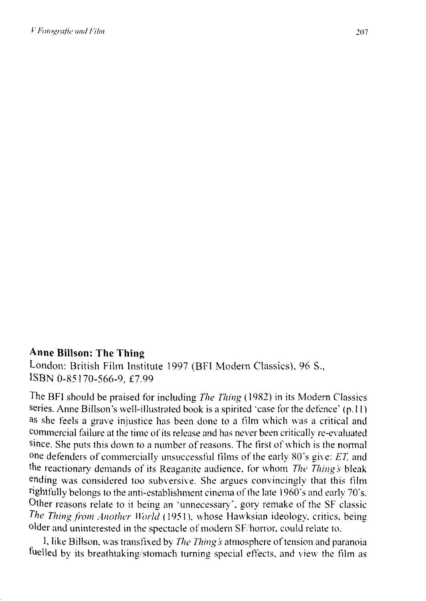# **Anne Billson: The Thing**

London: British Film Institute l 997 (BFI Modem Classics). 96 S., ISBN 0-85170-566-9, f7.99

The BFI should be praised for including *The Thing* ( 1982) in its Modem Classics series. Anne Billson's well-illustrated book is a spirited 'case for the defence'  $(p,11)$ as she feels a grave injustice has been done to a film which was a critical and commercial failure at the time of its release and has never been critically re-evaluated since. She puts this down to a number of reasons. The first of which is the nonnal one defenders of commercially unsuccessful tilms of the early 80's give: *ET.* and the reactionary demands of its Reaganite audience. for whom *The Things* bleak ending was considered too subversive. She argues convincingly that this film rightfully belongs to the anti-establishment cinema of the late I 960's and early 70's. Other reasons relate to it being an ·unnecessary·. gory remake of the SF classic *The Thing from Another World* (1951), whose Hawksian ideology, critics, being older and uninterested in the spectacle of modern SF/horror, could relate to.

1, like Billson, was transfixed by *The Thing's* atmosphere of tension and paranoia fuelled by its breathtaking/stomach turning special effects, and view the film as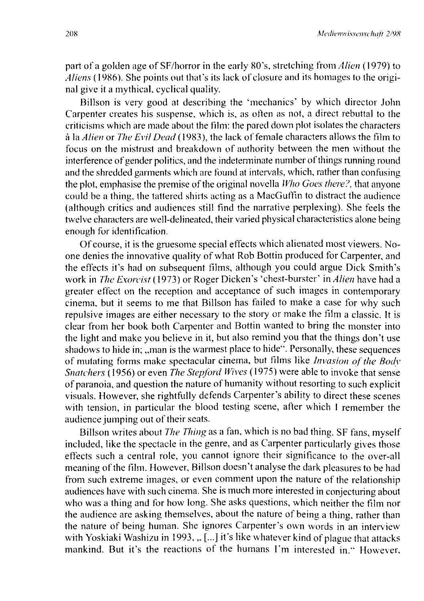part of a golden age of SF/horror in the early 80's, stretching from *Alien* ( 1979) to *Aliens* ( 1986). She points out that's its lack of closure and its homages to the original give it a mythical, cyclical quality.

Billson is very good at describing the 'mechanics' by which director John Carpenter creates his suspense, which is, as often as not, a direct rebuttal to the criticisms which are made about the film: the pared down plot isolates the characters à la *Alien* or *The Evil Dead* (1983), the lack of female characters allows the film to focus on the mistrnst and breakdown of authority between the men without the interference of gender politics, and the indeterminate number of things running round and the shredded garments which are found at intervals, which, rather than confusing the plot, emphasise the premise of the original novella *Who Goes there?*, that anyone could be a thing, the tattered shirts acting as a MacGuffin to distract the audience (although critics and audiences still find the narrative perplexing). She feels the twelve characters are well-delineated, their varied physical characteristics alone being enough for identification.

Of course, it is the gruesome special effects which alienated most viewers. Noone denies the innovative quality of what Rob Bottin produced for Carpenter, and the effects it's had on subsequent films, although you could argue Dick Smith 's work in *The Exorcist* ( 1973) or Roger Dicken 's 'chest-burster' in *Alien* have had a greater effect on the reception and acceptance of such images in contemporary cinema, but it seems to me that Billson has failed to make a case for why such repulsive images are either necessary to the story or make the film a classic. lt is clear from her book both Carpenter and Bottin wanted to bring the monster into the light and make you believe in it, but also remind you that the things don 't use shadows to hide in; ,,man is the warmest place to hide". Personally, these sequences of mutating forms make spectacular cinema, but films like *Invasion of the Body Snatchers* (1956) or even *The Stepford Wives* (1975) were able to invoke that sense of paranoia, and question the nature of humanity without resorting to such explicit visuals. However, she rightfully defends Carpenter's ability to direct these scenes with tension, in particular the blood testing scene, after which I remember the audience jumping out of their seats.

Billson writes about *The Thing* as a fan, which is no bad thing. SF fans, myself included, like the spectacle in the genre, and as Carpenter particularly gives those effects such a central role, you cannot ignore their significance to the over-all meaning of the film. However, Billson doesn't analyse the dark pleasures to be had from such extreme images, or even comment upon the nature of the relationship audiences have with such cinema. She is much more interested in conjecturing about who was a thing and for how long. She asks questions, which neither the film nor the audience are asking themselves, about the nature of being a thing, rather than the nature of being human. She ignores Carpenter's own words in an interview with Yoskiaki Washizu in 1993, "[...] it's like whatever kind of plague that attacks mankind. But it's the reactions of the humans I'm interested in." However,